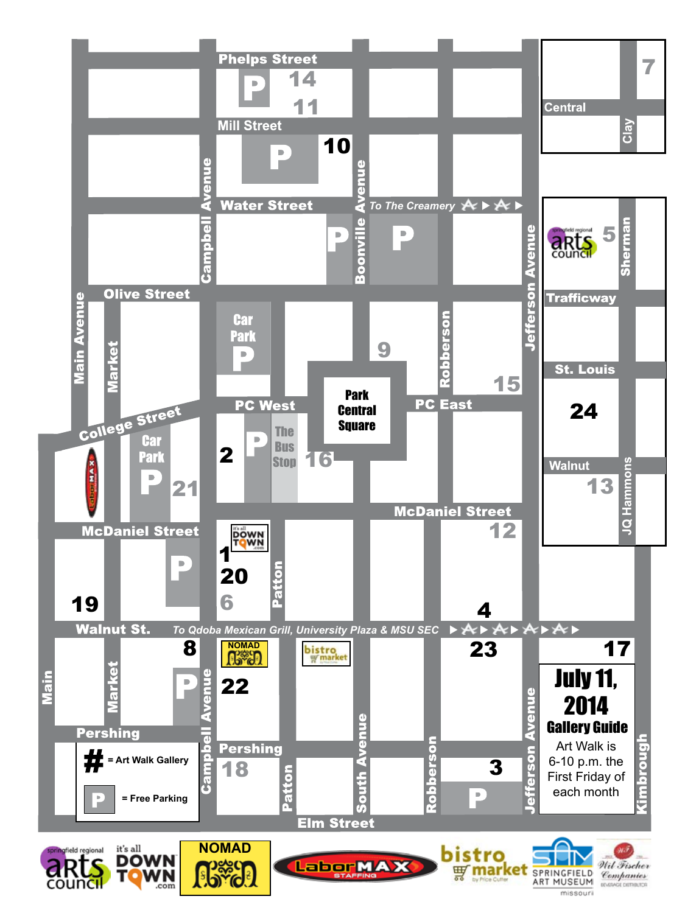